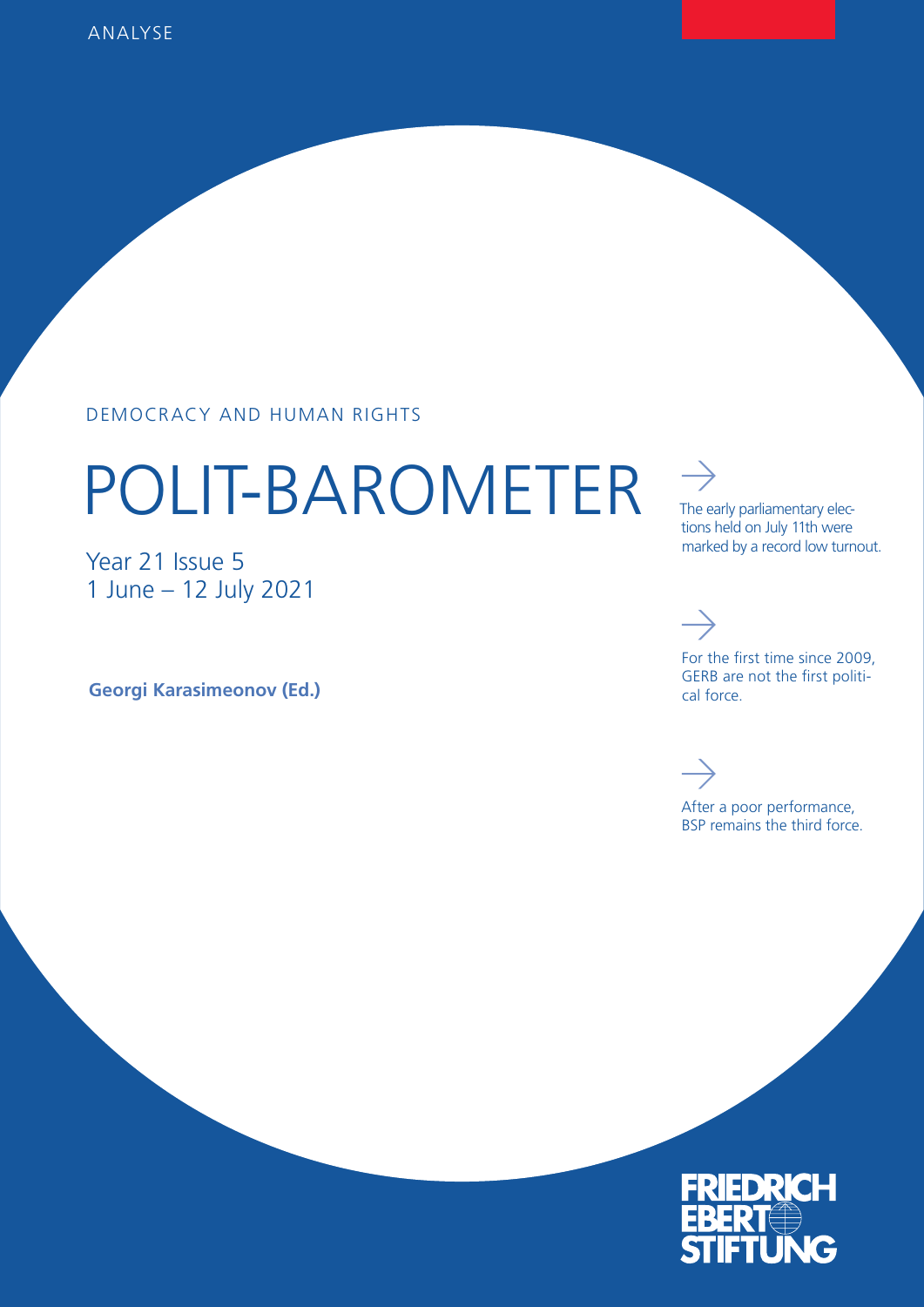#### DEMOCRACY AND HUMAN RIGHTS

# POLIT-BAROMETER

Year 21 Issue 5 1 June – 12 July 2021

**Georgi Karasimeonov (Ed.)**

The early parliamentary elections held on July 11th were marked by a record low turnout.

## $\rightarrow$

 $\rightarrow$ 

For the first time since 2009, GERB are not the first political force.

After a poor performance, BSP remains the third force.

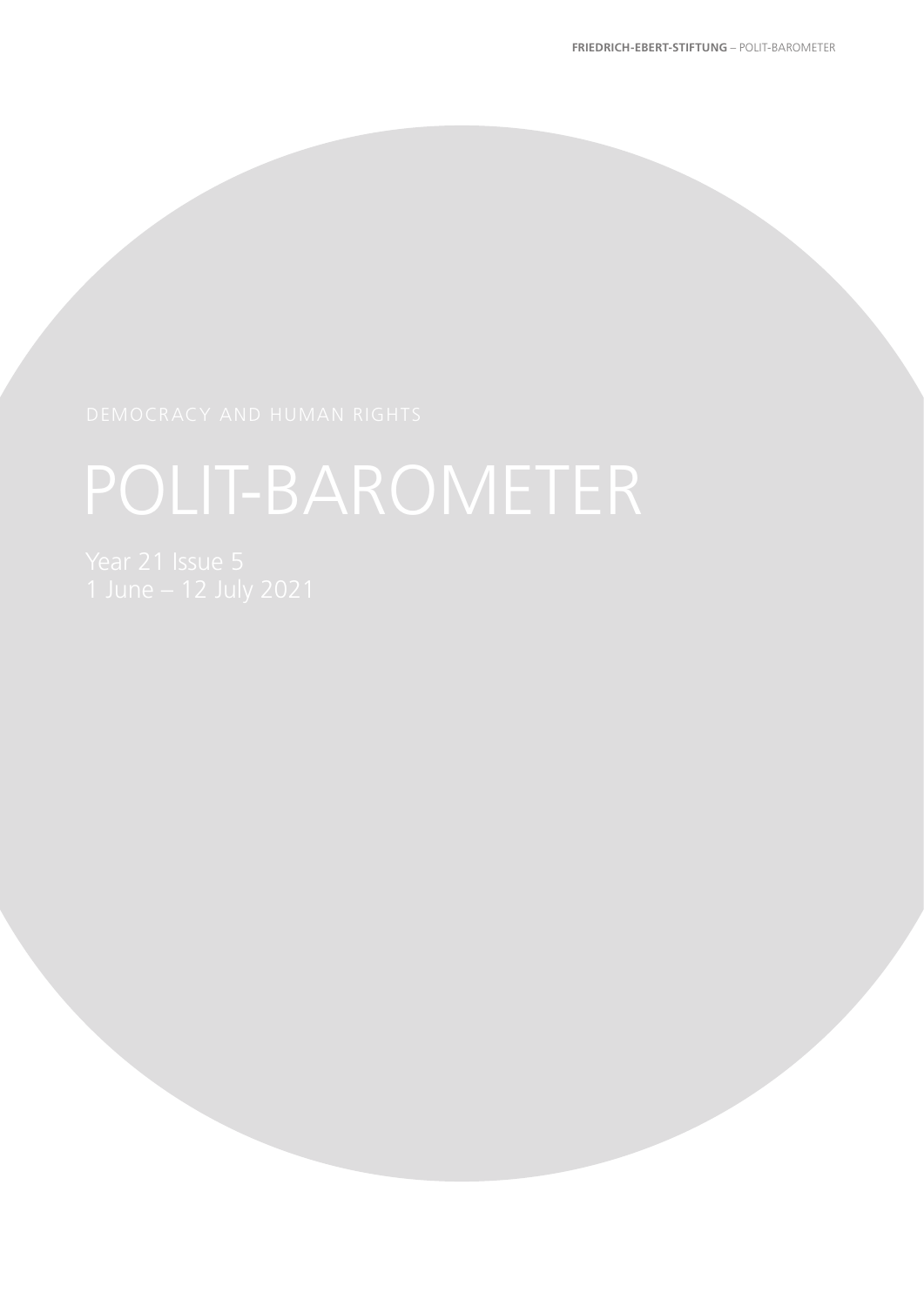# POLIT-BAROMETER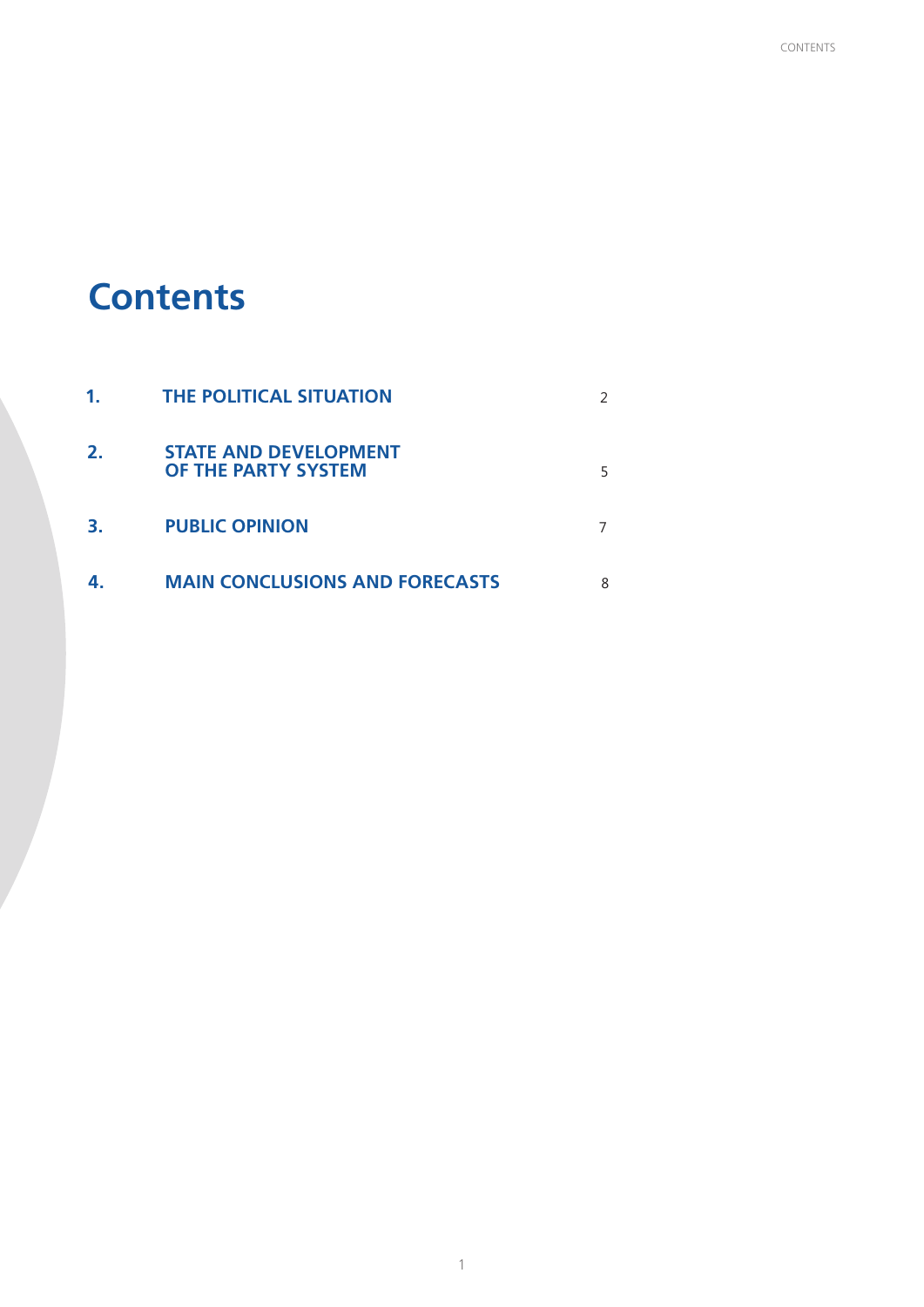## **Contents**

| 1. | <b>THE POLITICAL SITUATION</b>                      |  |
|----|-----------------------------------------------------|--|
| 2. | <b>STATE AND DEVELOPMENT</b><br>OF THE PARTY SYSTEM |  |
| 3. | <b>PUBLIC OPINION</b>                               |  |
|    | <b>MAIN CONCLUSIONS AND FORECASTS</b>               |  |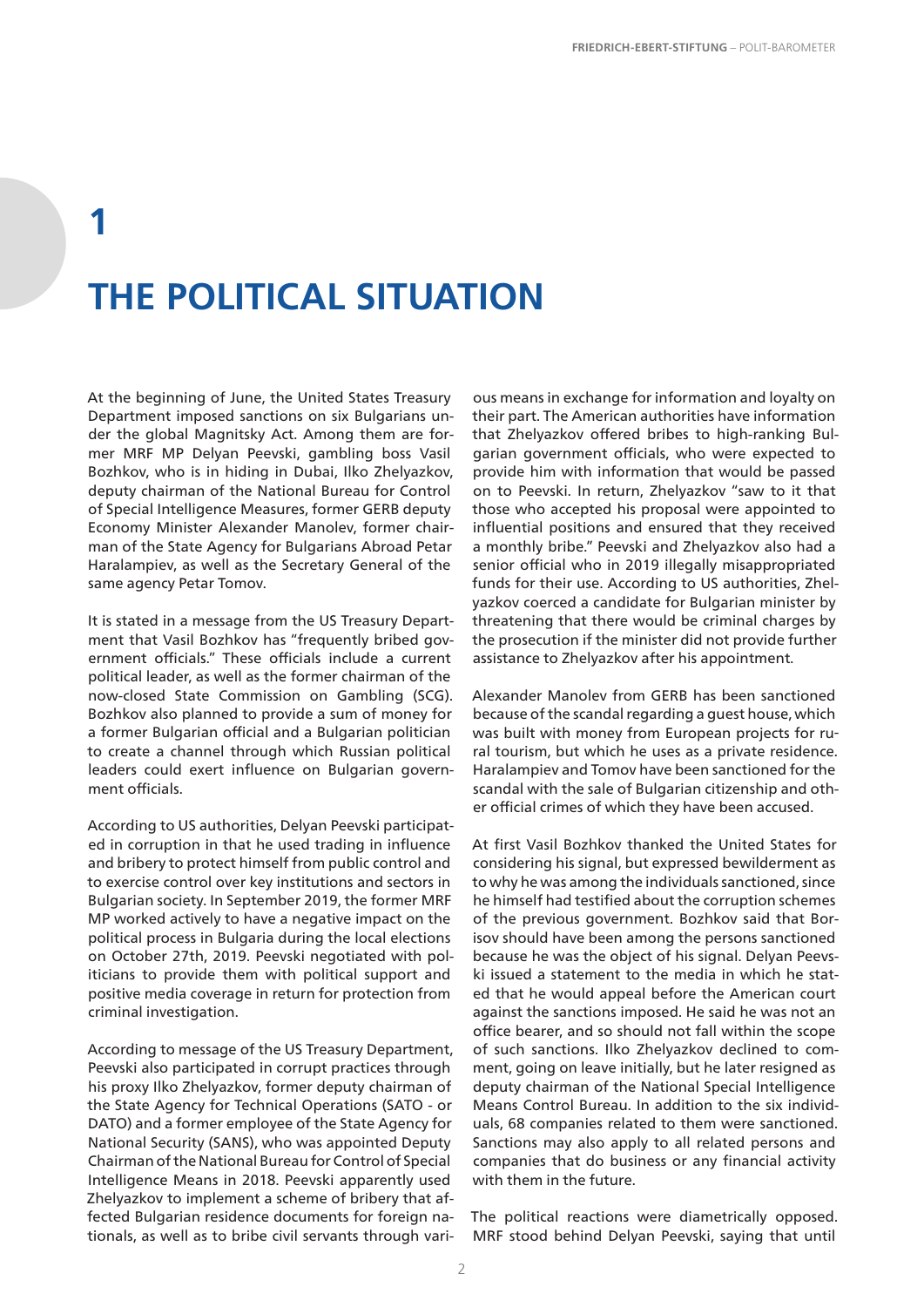## **1 THE POLITICAL SITUATION**

At the beginning of June, the United States Treasury Department imposed sanctions on six Bulgarians under the global Magnitsky Act. Among them are former MRF MP Delyan Peevski, gambling boss Vasil Bozhkov, who is in hiding in Dubai, Ilko Zhelyazkov, deputy chairman of the National Bureau for Control of Special Intelligence Measures, former GERB deputy Economy Minister Alexander Manolev, former chairman of the State Agency for Bulgarians Abroad Petar Haralampiev, as well as the Secretary General of the same agency Petar Tomov.

It is stated in a message from the US Treasury Department that Vasil Bozhkov has "frequently bribed government officials." These officials include a current political leader, as well as the former chairman of the now-closed State Commission on Gambling (SCG). Bozhkov also planned to provide a sum of money for a former Bulgarian official and a Bulgarian politician to create a channel through which Russian political leaders could exert influence on Bulgarian government officials.

According to US authorities, Delyan Peevski participated in corruption in that he used trading in influence and bribery to protect himself from public control and to exercise control over key institutions and sectors in Bulgarian society. In September 2019, the former MRF MP worked actively to have a negative impact on the political process in Bulgaria during the local elections on October 27th, 2019. Peevski negotiated with politicians to provide them with political support and positive media coverage in return for protection from criminal investigation.

According to message of the US Treasury Department, Peevski also participated in corrupt practices through his proxy Ilko Zhelyazkov, former deputy chairman of the State Agency for Technical Operations (SATO - or DATO) and a former employee of the State Agency for National Security (SANS), who was appointed Deputy Chairman of the National Bureau for Control of Special Intelligence Means in 2018. Peevski apparently used Zhelyazkov to implement a scheme of bribery that affected Bulgarian residence documents for foreign nationals, as well as to bribe civil servants through vari-

ous means in exchange for information and loyalty on their part. The American authorities have information that Zhelyazkov offered bribes to high-ranking Bulgarian government officials, who were expected to provide him with information that would be passed on to Peevski. In return, Zhelyazkov "saw to it that those who accepted his proposal were appointed to influential positions and ensured that they received a monthly bribe." Peevski and Zhelyazkov also had a senior official who in 2019 illegally misappropriated funds for their use. According to US authorities, Zhelyazkov coerced a candidate for Bulgarian minister by threatening that there would be criminal charges by the prosecution if the minister did not provide further assistance to Zhelyazkov after his appointment.

Alexander Manolev from GERB has been sanctioned because of the scandal regarding a guest house, which was built with money from European projects for rural tourism, but which he uses as a private residence. Haralampiev and Tomov have been sanctioned for the scandal with the sale of Bulgarian citizenship and other official crimes of which they have been accused.

At first Vasil Bozhkov thanked the United States for considering his signal, but expressed bewilderment as to why he was among the individuals sanctioned, since he himself had testified about the corruption schemes of the previous government. Bozhkov said that Borisov should have been among the persons sanctioned because he was the object of his signal. Delyan Peevski issued a statement to the media in which he stated that he would appeal before the American court against the sanctions imposed. He said he was not an office bearer, and so should not fall within the scope of such sanctions. Ilko Zhelyazkov declined to comment, going on leave initially, but he later resigned as deputy chairman of the National Special Intelligence Means Control Bureau. In addition to the six individuals, 68 companies related to them were sanctioned. Sanctions may also apply to all related persons and companies that do business or any financial activity with them in the future.

The political reactions were diametrically opposed. MRF stood behind Delyan Peevski, saying that until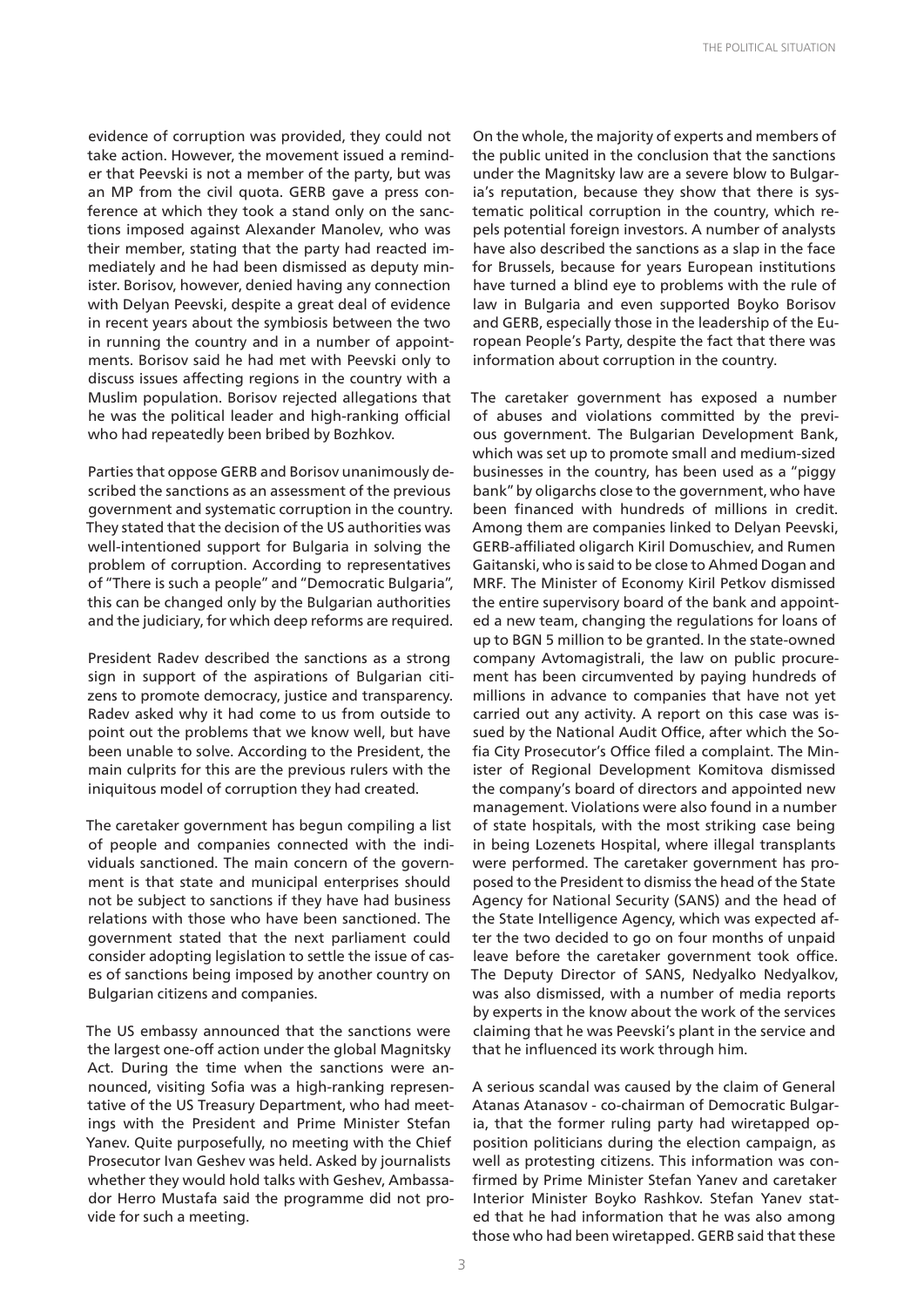evidence of corruption was provided, they could not take action. However, the movement issued a reminder that Peevski is not a member of the party, but was an MP from the civil quota. GERB gave a press conference at which they took a stand only on the sanctions imposed against Alexander Manolev, who was their member, stating that the party had reacted immediately and he had been dismissed as deputy minister. Borisov, however, denied having any connection with Delyan Peevski, despite a great deal of evidence in recent years about the symbiosis between the two in running the country and in a number of appointments. Borisov said he had met with Peevski only to discuss issues affecting regions in the country with a Muslim population. Borisov rejected allegations that he was the political leader and high-ranking official who had repeatedly been bribed by Bozhkov.

Parties that oppose GERB and Borisov unanimously described the sanctions as an assessment of the previous government and systematic corruption in the country. They stated that the decision of the US authorities was well-intentioned support for Bulgaria in solving the problem of corruption. According to representatives of "There is such a people" and "Democratic Bulgaria", this can be changed only by the Bulgarian authorities and the judiciary, for which deep reforms are required.

President Radev described the sanctions as a strong sign in support of the aspirations of Bulgarian citizens to promote democracy, justice and transparency. Radev asked why it had come to us from outside to point out the problems that we know well, but have been unable to solve. According to the President, the main culprits for this are the previous rulers with the iniquitous model of corruption they had created.

The caretaker government has begun compiling a list of people and companies connected with the individuals sanctioned. The main concern of the government is that state and municipal enterprises should not be subject to sanctions if they have had business relations with those who have been sanctioned. The government stated that the next parliament could consider adopting legislation to settle the issue of cases of sanctions being imposed by another country on Bulgarian citizens and companies.

The US embassy announced that the sanctions were the largest one-off action under the global Magnitsky Act. During the time when the sanctions were announced, visiting Sofia was a high-ranking representative of the US Treasury Department, who had meetings with the President and Prime Minister Stefan Yanev. Quite purposefully, no meeting with the Chief Prosecutor Ivan Geshev was held. Asked by journalists whether they would hold talks with Geshev, Ambassador Herro Mustafa said the programme did not provide for such a meeting.

On the whole, the majority of experts and members of the public united in the conclusion that the sanctions under the Magnitsky law are a severe blow to Bulgaria's reputation, because they show that there is systematic political corruption in the country, which repels potential foreign investors. A number of analysts have also described the sanctions as a slap in the face for Brussels, because for years European institutions have turned a blind eye to problems with the rule of law in Bulgaria and even supported Boyko Borisov and GERB, especially those in the leadership of the European People's Party, despite the fact that there was information about corruption in the country.

The caretaker government has exposed a number of abuses and violations committed by the previous government. The Bulgarian Development Bank, which was set up to promote small and medium-sized businesses in the country, has been used as a "piggy bank" by oligarchs close to the government, who have been financed with hundreds of millions in credit. Among them are companies linked to Delyan Peevski, GERB-affiliated oligarch Kiril Domuschiev, and Rumen Gaitanski, who is said to be close to Ahmed Dogan and MRF. The Minister of Economy Kiril Petkov dismissed the entire supervisory board of the bank and appointed a new team, changing the regulations for loans of up to BGN 5 million to be granted. In the state-owned company Avtomagistrali, the law on public procurement has been circumvented by paying hundreds of millions in advance to companies that have not yet carried out any activity. A report on this case was issued by the National Audit Office, after which the Sofia City Prosecutor's Office filed a complaint. The Minister of Regional Development Komitova dismissed the company's board of directors and appointed new management. Violations were also found in a number of state hospitals, with the most striking case being in being Lozenets Hospital, where illegal transplants were performed. The caretaker government has proposed to the President to dismiss the head of the State Agency for National Security (SANS) and the head of the State Intelligence Agency, which was expected after the two decided to go on four months of unpaid leave before the caretaker government took office. The Deputy Director of SANS, Nedyalko Nedyalkov, was also dismissed, with a number of media reports by experts in the know about the work of the services claiming that he was Peevski's plant in the service and that he influenced its work through him.

A serious scandal was caused by the claim of General Atanas Atanasov - co-chairman of Democratic Bulgaria, that the former ruling party had wiretapped opposition politicians during the election campaign, as well as protesting citizens. This information was confirmed by Prime Minister Stefan Yanev and caretaker Interior Minister Boyko Rashkov. Stefan Yanev stated that he had information that he was also among those who had been wiretapped. GERB said that these

3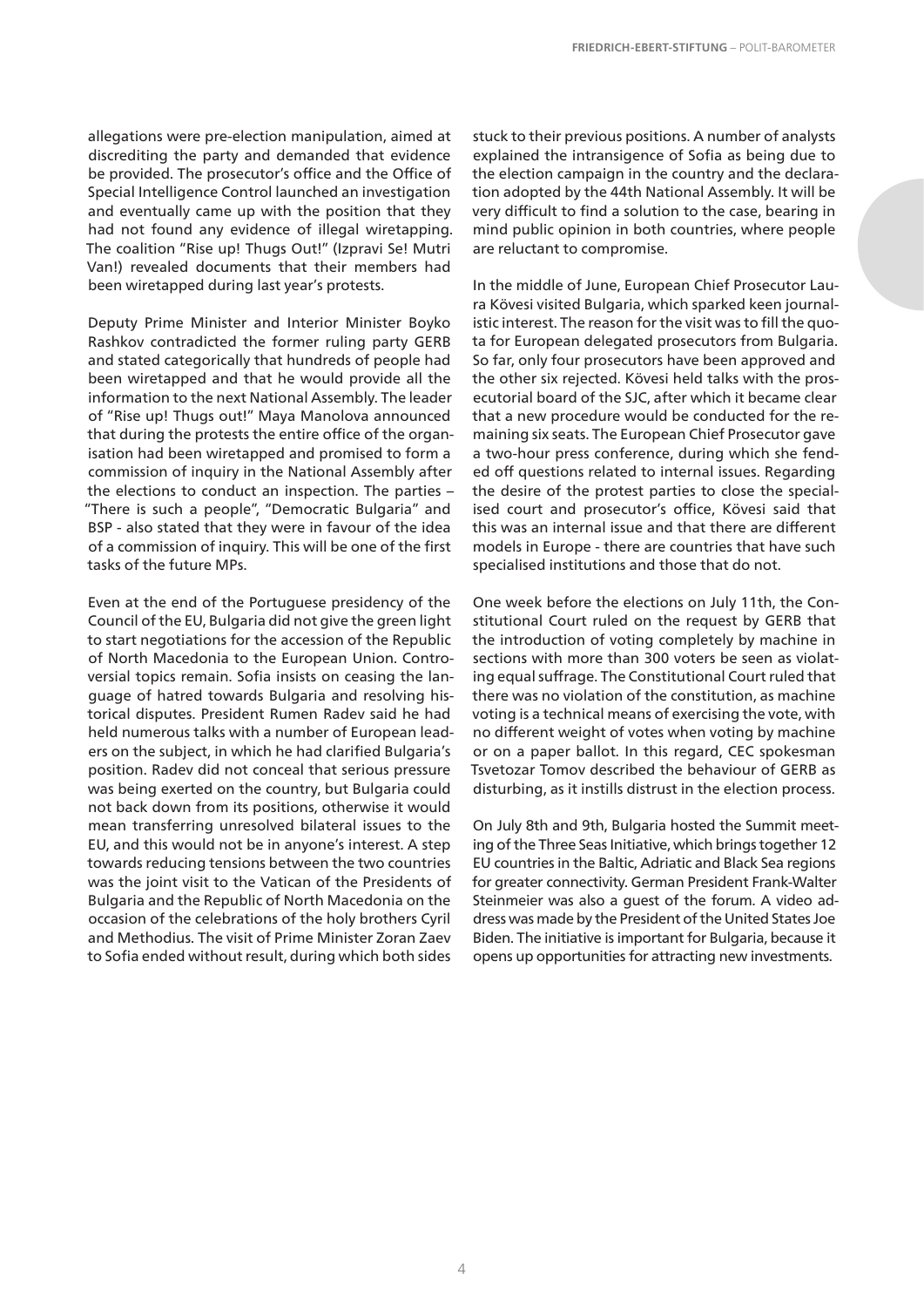allegations were pre-election manipulation, aimed at discrediting the party and demanded that evidence be provided. The prosecutor's office and the Office of Special Intelligence Control launched an investigation and eventually came up with the position that they had not found any evidence of illegal wiretapping. The coalition "Rise up! Thugs Out!" (Izpravi Se! Mutri Van!) revealed documents that their members had been wiretapped during last year's protests.

Deputy Prime Minister and Interior Minister Boyko Rashkov contradicted the former ruling party GERB and stated categorically that hundreds of people had been wiretapped and that he would provide all the information to the next National Assembly. The leader of "Rise up! Thugs out!" Maya Manolova announced that during the protests the entire office of the organisation had been wiretapped and promised to form a commission of inquiry in the National Assembly after the elections to conduct an inspection. The parties – "There is such a people", "Democratic Bulgaria" and BSP - also stated that they were in favour of the idea of a commission of inquiry. This will be one of the first tasks of the future MPs.

Even at the end of the Portuguese presidency of the Council of the EU, Bulgaria did not give the green light to start negotiations for the accession of the Republic of North Macedonia to the European Union. Controversial topics remain. Sofia insists on ceasing the language of hatred towards Bulgaria and resolving historical disputes. President Rumen Radev said he had held numerous talks with a number of European leaders on the subject, in which he had clarified Bulgaria's position. Radev did not conceal that serious pressure was being exerted on the country, but Bulgaria could not back down from its positions, otherwise it would mean transferring unresolved bilateral issues to the EU, and this would not be in anyone's interest. A step towards reducing tensions between the two countries was the joint visit to the Vatican of the Presidents of Bulgaria and the Republic of North Macedonia on the occasion of the celebrations of the holy brothers Cyril and Methodius. The visit of Prime Minister Zoran Zaev to Sofia ended without result, during which both sides

stuck to their previous positions. A number of analysts explained the intransigence of Sofia as being due to the election campaign in the country and the declaration adopted by the 44th National Assembly. It will be very difficult to find a solution to the case, bearing in mind public opinion in both countries, where people are reluctant to compromise.

In the middle of June, European Chief Prosecutor Laura Kövesi visited Bulgaria, which sparked keen journalistic interest. The reason for the visit was to fill the quota for European delegated prosecutors from Bulgaria. So far, only four prosecutors have been approved and the other six rejected. Kövesi held talks with the prosecutorial board of the SJC, after which it became clear that a new procedure would be conducted for the remaining six seats. The European Chief Prosecutor gave a two-hour press conference, during which she fended off questions related to internal issues. Regarding the desire of the protest parties to close the specialised court and prosecutor's office, Kövesi said that this was an internal issue and that there are different models in Europe - there are countries that have such specialised institutions and those that do not.

One week before the elections on July 11th, the Constitutional Court ruled on the request by GERB that the introduction of voting completely by machine in sections with more than 300 voters be seen as violating equal suffrage. The Constitutional Court ruled that there was no violation of the constitution, as machine voting is a technical means of exercising the vote, with no different weight of votes when voting by machine or on a paper ballot. In this regard, CEC spokesman Tsvetozar Tomov described the behaviour of GERB as disturbing, as it instills distrust in the election process.

On July 8th and 9th, Bulgaria hosted the Summit meeting of the Three Seas Initiative, which brings together 12 EU countries in the Baltic, Adriatic and Black Sea regions for greater connectivity. German President Frank-Walter Steinmeier was also a guest of the forum. A video address was made by the President of the United States Joe Biden. The initiative is important for Bulgaria, because it opens up opportunities for attracting new investments.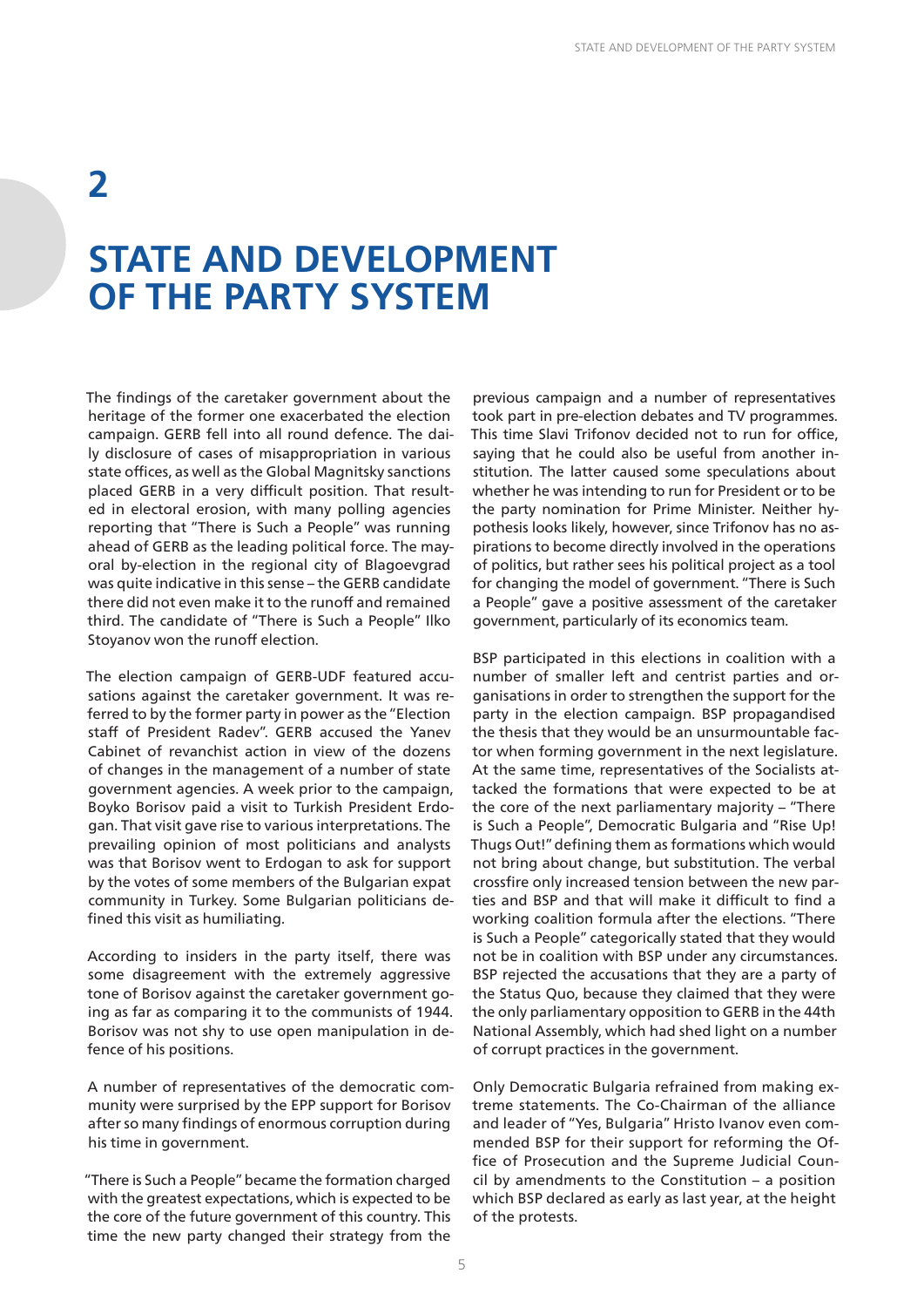## **2**

## **STATE AND DEVELOPMENT OF THE PARTY SYSTEM**

The findings of the caretaker government about the heritage of the former one exacerbated the election campaign. GERB fell into all round defence. The daily disclosure of cases of misappropriation in various state offices, as well as the Global Magnitsky sanctions placed GERB in a very difficult position. That resulted in electoral erosion, with many polling agencies reporting that "There is Such a People" was running ahead of GERB as the leading political force. The mayoral by-election in the regional city of Blagoevgrad was quite indicative in this sense – the GERB candidate there did not even make it to the runoff and remained third. The candidate of "There is Such a People" Ilko Stoyanov won the runoff election.

The election campaign of GERB-UDF featured accusations against the caretaker government. It was referred to by the former party in power as the "Election staff of President Radev". GERB accused the Yanev Cabinet of revanchist action in view of the dozens of changes in the management of a number of state government agencies. A week prior to the campaign, Boyko Borisov paid a visit to Turkish President Erdogan. That visit gave rise to various interpretations. The prevailing opinion of most politicians and analysts was that Borisov went to Erdogan to ask for support by the votes of some members of the Bulgarian expat community in Turkey. Some Bulgarian politicians defined this visit as humiliating.

According to insiders in the party itself, there was some disagreement with the extremely aggressive tone of Borisov against the caretaker government going as far as comparing it to the communists of 1944. Borisov was not shy to use open manipulation in defence of his positions.

A number of representatives of the democratic community were surprised by the EPP support for Borisov after so many findings of enormous corruption during his time in government.

"There is Such a People" became the formation charged with the greatest expectations, which is expected to be the core of the future government of this country. This time the new party changed their strategy from the

previous campaign and a number of representatives took part in pre-election debates and TV programmes. This time Slavi Trifonov decided not to run for office, saying that he could also be useful from another institution. The latter caused some speculations about whether he was intending to run for President or to be the party nomination for Prime Minister. Neither hypothesis looks likely, however, since Trifonov has no aspirations to become directly involved in the operations of politics, but rather sees his political project as a tool for changing the model of government. "There is Such a People" gave a positive assessment of the caretaker government, particularly of its economics team.

BSP participated in this elections in coalition with a number of smaller left and centrist parties and organisations in order to strengthen the support for the party in the election campaign. BSP propagandised the thesis that they would be an unsurmountable factor when forming government in the next legislature. At the same time, representatives of the Socialists attacked the formations that were expected to be at the core of the next parliamentary majority – "There is Such a People", Democratic Bulgaria and "Rise Up! Thugs Out!" defining them as formations which would not bring about change, but substitution. The verbal crossfire only increased tension between the new parties and BSP and that will make it difficult to find a working coalition formula after the elections. "There is Such a People" categorically stated that they would not be in coalition with BSP under any circumstances. BSP rejected the accusations that they are a party of the Status Quo, because they claimed that they were the only parliamentary opposition to GERB in the 44th National Assembly, which had shed light on a number of corrupt practices in the government.

Only Democratic Bulgaria refrained from making extreme statements. The Co-Chairman of the alliance and leader of "Yes, Bulgaria" Hristo Ivanov even commended BSP for their support for reforming the Office of Prosecution and the Supreme Judicial Council by amendments to the Constitution – a position which BSP declared as early as last year, at the height of the protests.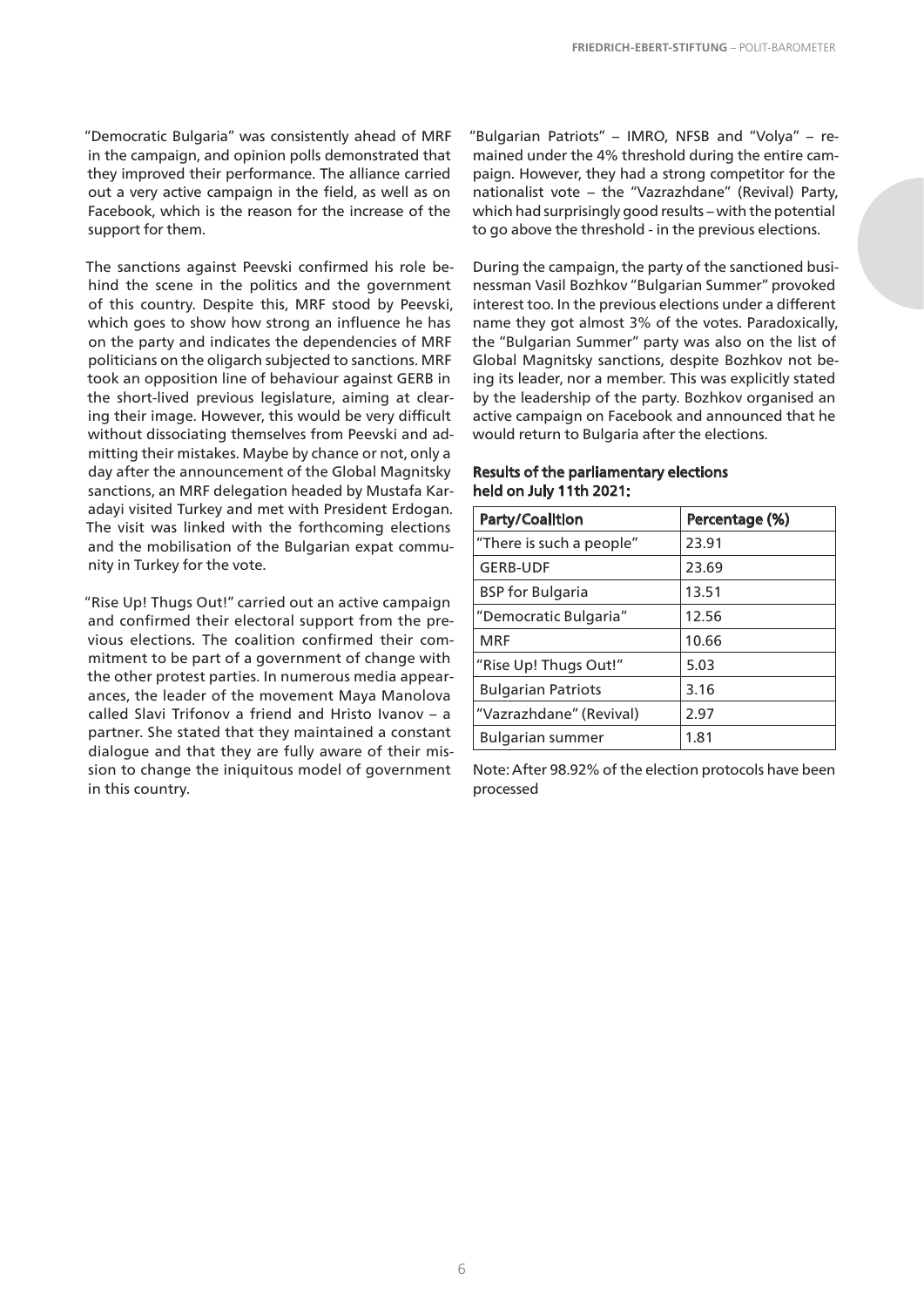"Democratic Bulgaria" was consistently ahead of MRF in the campaign, and opinion polls demonstrated that they improved their performance. The alliance carried out a very active campaign in the field, as well as on Facebook, which is the reason for the increase of the support for them.

The sanctions against Peevski confirmed his role behind the scene in the politics and the government of this country. Despite this, MRF stood by Peevski, which goes to show how strong an influence he has on the party and indicates the dependencies of MRF politicians on the oligarch subjected to sanctions. MRF took an opposition line of behaviour against GERB in the short-lived previous legislature, aiming at clearing their image. However, this would be very difficult without dissociating themselves from Peevski and admitting their mistakes. Maybe by chance or not, only a day after the announcement of the Global Magnitsky sanctions, an MRF delegation headed by Mustafa Karadayi visited Turkey and met with President Erdogan. The visit was linked with the forthcoming elections and the mobilisation of the Bulgarian expat community in Turkey for the vote.

"Rise Up! Thugs Out!" carried out an active campaign and confirmed their electoral support from the previous elections. The coalition confirmed their commitment to be part of a government of change with the other protest parties. In numerous media appearances, the leader of the movement Maya Manolova called Slavi Trifonov a friend and Hristo Ivanov – a partner. She stated that they maintained a constant dialogue and that they are fully aware of their mission to change the iniquitous model of government in this country.

"Bulgarian Patriots" – IMRO, NFSB and "Volya" – remained under the 4% threshold during the entire campaign. However, they had a strong competitor for the nationalist vote – the "Vazrazhdane" (Revival) Party, which had surprisingly good results – with the potential to go above the threshold - in the previous elections.

During the campaign, the party of the sanctioned businessman Vasil Bozhkov "Bulgarian Summer" provoked interest too. In the previous elections under a different name they got almost 3% of the votes. Paradoxically, the "Bulgarian Summer" party was also on the list of Global Magnitsky sanctions, despite Bozhkov not being its leader, nor a member. This was explicitly stated by the leadership of the party. Bozhkov organised an active campaign on Facebook and announced that he would return to Bulgaria after the elections.

| Party/Coalition           | Percentage (%) |
|---------------------------|----------------|
| "There is such a people"  | 23.91          |
| <b>GERB-UDF</b>           | 23.69          |
| <b>BSP</b> for Bulgaria   | 13.51          |
| "Democratic Bulgaria"     | 12.56          |
| <b>MRF</b>                | 10.66          |
| "Rise Up! Thugs Out!"     | 5.03           |
| <b>Bulgarian Patriots</b> | 3.16           |
| "Vazrazhdane" (Revival)   | 2.97           |
| <b>Bulgarian summer</b>   | 1.81           |

#### Results of the parliamentary elections held on July 11th 2021:

Note: After 98.92% of the election protocols have been processed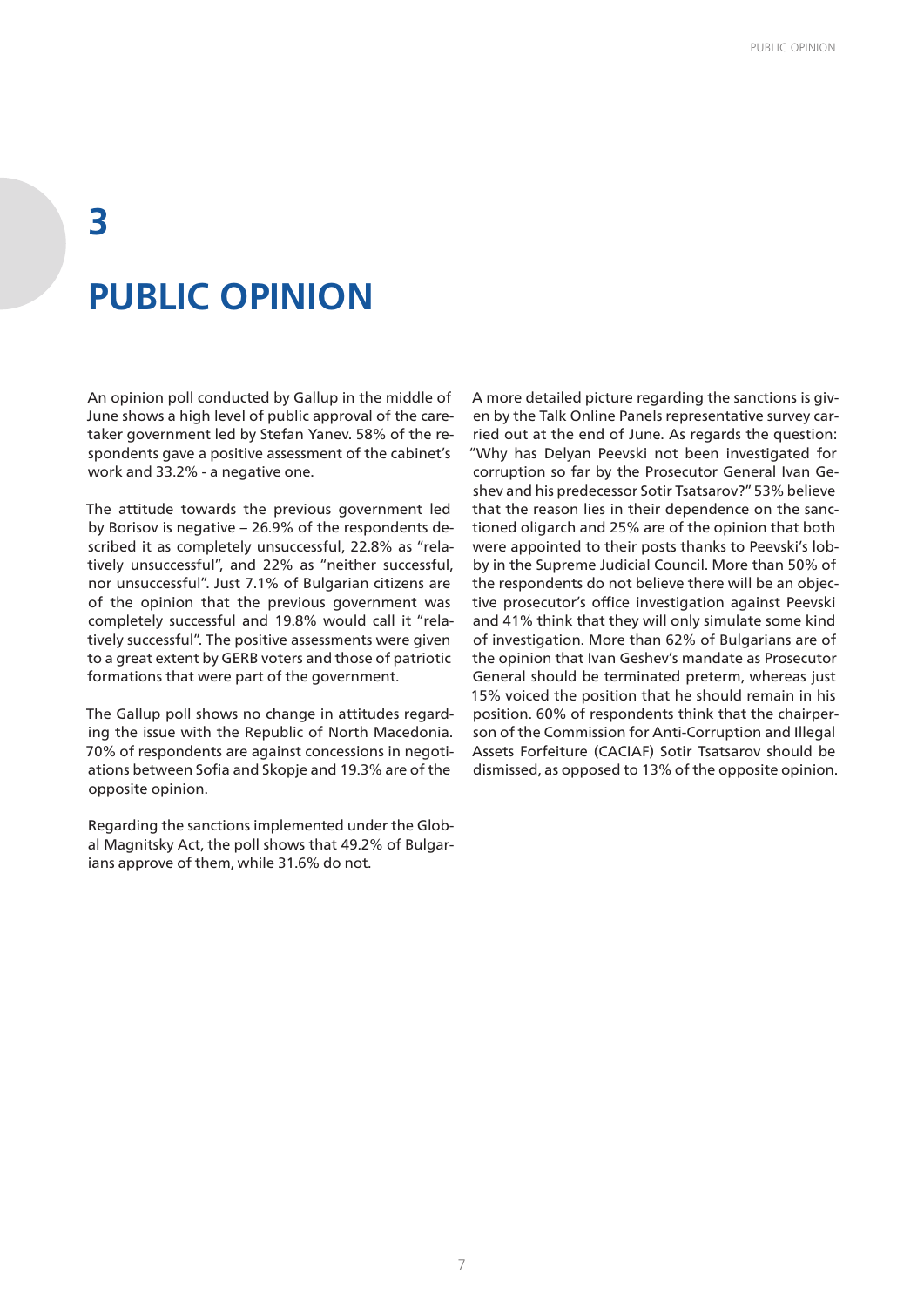## **3 PUBLIC OPINION**

An opinion poll conducted by Gallup in the middle of June shows a high level of public approval of the caretaker government led by Stefan Yanev. 58% of the respondents gave a positive assessment of the cabinet's work and 33.2% - a negative one.

The attitude towards the previous government led by Borisov is negative – 26.9% of the respondents described it as completely unsuccessful, 22.8% as "relatively unsuccessful", and 22% as "neither successful, nor unsuccessful". Just 7.1% of Bulgarian citizens are of the opinion that the previous government was completely successful and 19.8% would call it "relatively successful". The positive assessments were given to a great extent by GERB voters and those of patriotic formations that were part of the government.

The Gallup poll shows no change in attitudes regarding the issue with the Republic of North Macedonia. 70% of respondents are against concessions in negotiations between Sofia and Skopje and 19.3% are of the opposite opinion.

Regarding the sanctions implemented under the Global Magnitsky Act, the poll shows that 49.2% of Bulgarians approve of them, while 31.6% do not.

A more detailed picture regarding the sanctions is given by the Talk Online Panels representative survey carried out at the end of June. As regards the question: "Why has Delyan Peevski not been investigated for corruption so far by the Prosecutor General Ivan Geshev and his predecessor Sotir Tsatsarov?" 53% believe that the reason lies in their dependence on the sanctioned oligarch and 25% are of the opinion that both were appointed to their posts thanks to Peevski's lobby in the Supreme Judicial Council. More than 50% of the respondents do not believe there will be an objective prosecutor's office investigation against Peevski and 41% think that they will only simulate some kind of investigation. More than 62% of Bulgarians are of the opinion that Ivan Geshev's mandate as Prosecutor General should be terminated preterm, whereas just 15% voiced the position that he should remain in his position. 60% of respondents think that the chairperson of the Commission for Anti-Corruption and Illegal Assets Forfeiture (CACIAF) Sotir Tsatsarov should be dismissed, as opposed to 13% of the opposite opinion.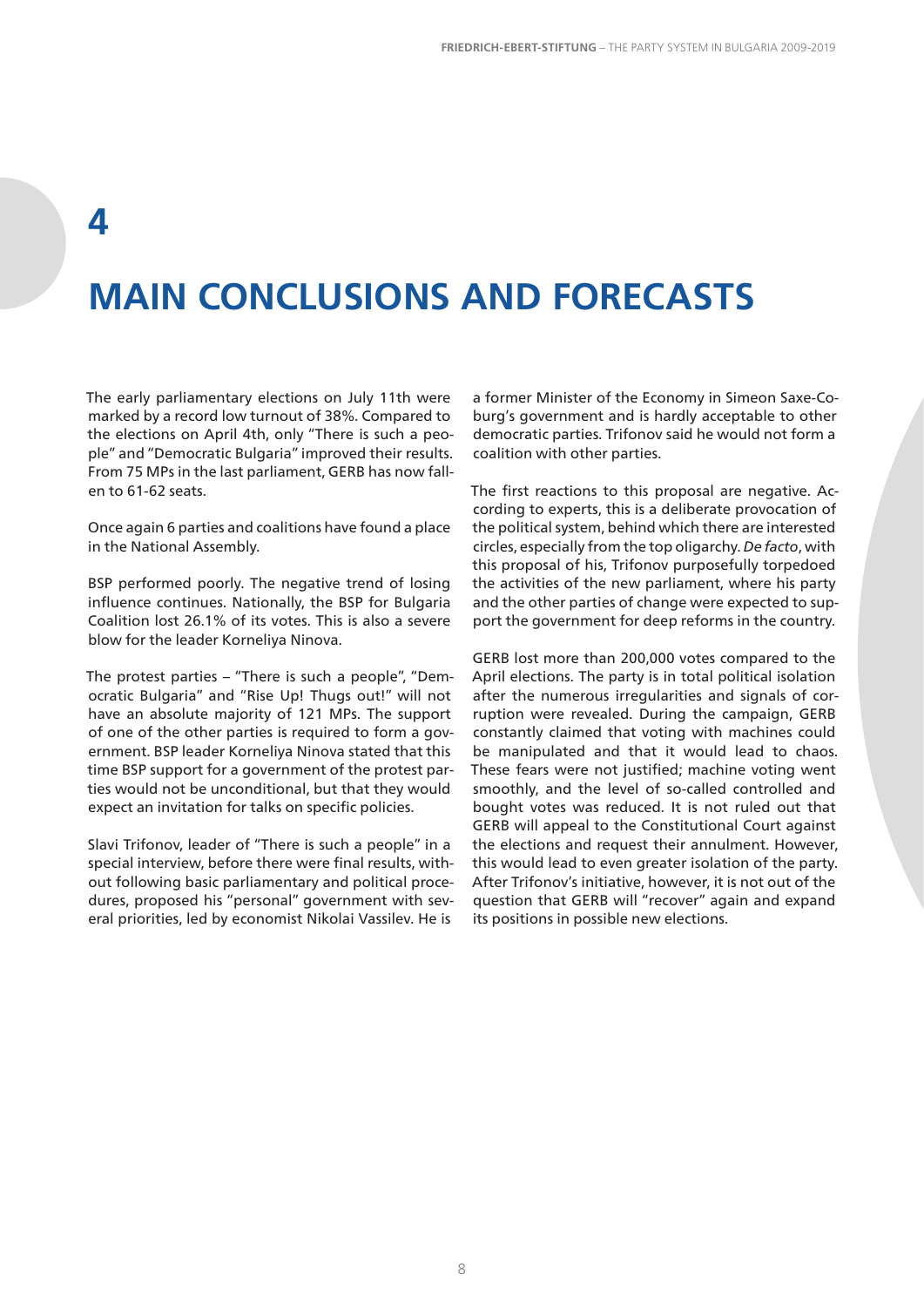### **4**

## **MAIN CONCLUSIONS AND FORECASTS**

The early parliamentary elections on July 11th were marked by a record low turnout of 38%. Compared to the elections on April 4th, only "There is such a people" and "Democratic Bulgaria" improved their results. From 75 MPs in the last parliament, GERB has now fallen to 61-62 seats.

Once again 6 parties and coalitions have found a place in the National Assembly.

BSP performed poorly. The negative trend of losing influence continues. Nationally, the BSP for Bulgaria Coalition lost 26.1% of its votes. This is also a severe blow for the leader Korneliya Ninova.

The protest parties – "There is such a people", "Democratic Bulgaria" and "Rise Up! Thugs out!" will not have an absolute majority of 121 MPs. The support of one of the other parties is required to form a government. BSP leader Korneliya Ninova stated that this time BSP support for a government of the protest parties would not be unconditional, but that they would expect an invitation for talks on specific policies.

Slavi Trifonov, leader of "There is such a people" in a special interview, before there were final results, without following basic parliamentary and political procedures, proposed his "personal" government with several priorities, led by economist Nikolai Vassilev. He is

a former Minister of the Economy in Simeon Saxe-Coburg's government and is hardly acceptable to other democratic parties. Trifonov said he would not form a coalition with other parties.

The first reactions to this proposal are negative. According to experts, this is a deliberate provocation of the political system, behind which there are interested circles, especially from the top oligarchy. *De facto*, with this proposal of his, Trifonov purposefully torpedoed the activities of the new parliament, where his party and the other parties of change were expected to support the government for deep reforms in the country.

GERB lost more than 200,000 votes compared to the April elections. The party is in total political isolation after the numerous irregularities and signals of corruption were revealed. During the campaign, GERB constantly claimed that voting with machines could be manipulated and that it would lead to chaos. These fears were not justified; machine voting went smoothly, and the level of so-called controlled and bought votes was reduced. It is not ruled out that GERB will appeal to the Constitutional Court against the elections and request their annulment. However, this would lead to even greater isolation of the party. After Trifonov's initiative, however, it is not out of the question that GERB will "recover" again and expand its positions in possible new elections.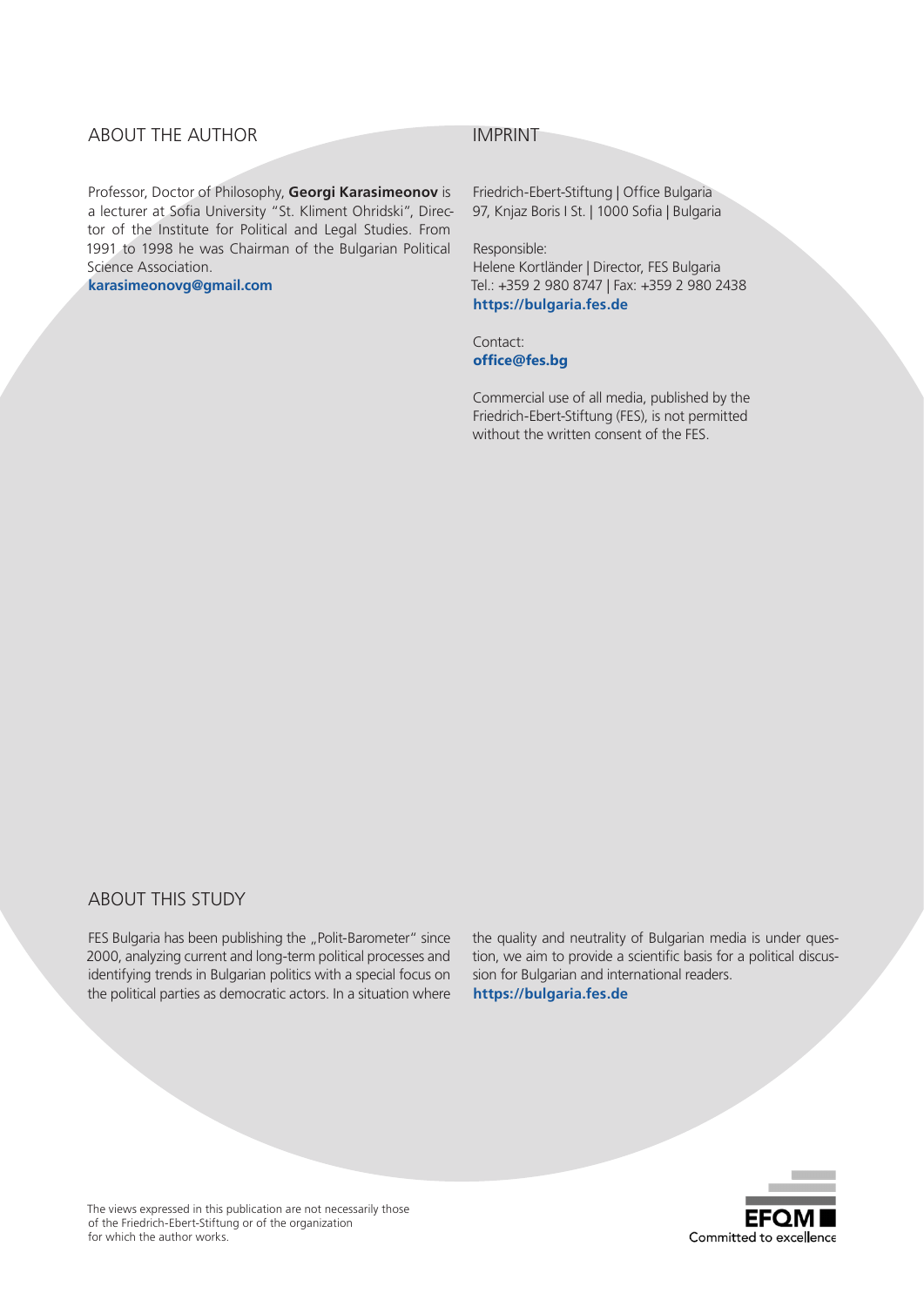#### ABOUT THE AUTHOR

Professor, Doctor of Philosophy, **Georgi Karasimeonov** is a lecturer at Sofia University "St. Kliment Ohridski", Director of the Institute for Political and Legal Studies. From 1991 to 1998 he was Chairman of the Bulgarian Political Science Association.

**karasimeonovg@gmail.com** 

#### IMPRINT

Friedrich-Ebert-Stiftung | Office Bulgaria 97, Knjaz Boris I St. | 1000 Sofia | Bulgaria

Responsible:

Helene Kortländer | Director, FES Bulgaria Tel.: +359 2 980 8747 | Fax: +359 2 980 2438 **https://bulgaria.fes.de**

Contact: **office@fes.bg**

Commercial use of all media, published by the Friedrich-Ebert-Stiftung (FES), is not permitted without the written consent of the FES.

#### ABOUT THIS STUDY

FES Bulgaria has been publishing the "Polit-Barometer" since 2000, analyzing current and long-term political processes and identifying trends in Bulgarian politics with a special focus on the political parties as democratic actors. In a situation where

the quality and neutrality of Bulgarian media is under question, we aim to provide a scientific basis for a political discussion for Bulgarian and international readers. **https://bulgaria.fes.de**



The views expressed in this publication are not necessarily those of the Friedrich-Ebert-Stiftung or of the organization for which the author works.